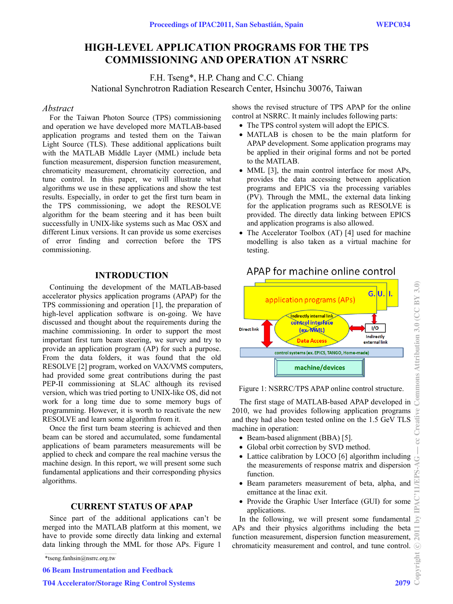# **HIGH-LEVEL APPLICATION PROGRAMS FOR THE TPS COMMISSIONING AND OPERATION AT NSRRC**

F.H. Tseng\*, H.P. Chang and C.C. Chiang National Synchrotron Radiation Research Center, Hsinchu 30076, Taiwan

## *Abstract*

For the Taiwan Photon Source (TPS) commissioning and operation we have developed more MATLAB-based application programs and tested them on the Taiwan Light Source (TLS). These additional applications built with the MATLAB Middle Layer (MML) include beta function measurement, dispersion function measurement, chromaticity measurement, chromaticity correction, and tune control. In this paper, we will illustrate what algorithms we use in these applications and show the test results. Especially, in order to get the first turn beam in the TPS commissioning, we adopt the RESOLVE algorithm for the beam steering and it has been built successfully in UNIX-like systems such as Mac OSX and different Linux versions. It can provide us some exercises of error finding and correction before the TPS commissioning.

# **INTRODUCTION**

Continuing the development of the MATLAB-based accelerator physics application programs (APAP) for the TPS commissioning and operation [1], the preparation of high-level application software is on-going. We have discussed and thought about the requirements during the machine commissioning. In order to support the most important first turn beam steering, we survey and try to provide an application program (AP) for such a purpose. From the data folders, it was found that the old RESOLVE [2] program, worked on VAX/VMS computers, had provided some great contributions during the past PEP-II commissioning at SLAC although its revised version, which was tried porting to UNIX-like OS, did not work for a long time due to some memory bugs of programming. However, it is worth to reactivate the new RESOLVE and learn some algorithm from it.

Once the first turn beam steering is achieved and then beam can be stored and accumulated, some fundamental applications of beam parameters measurements will be applied to check and compare the real machine versus the machine design. In this report, we will present some such fundamental applications and their corresponding physics algorithms.

## **CURRENT STATUS OF APAP**

Since part of the additional applications can't be merged into the MATLAB platform at this moment, we have to provide some directly data linking and external data linking through the MML for those APs. Figure 1

06 Beam Instrumentation and Feedback

shows the revised structure of TPS APAP for the online control at NSRRC. It mainly includes following parts:

- The TPS control system will adopt the EPICS.
- MATLAB is chosen to be the main platform for APAP development. Some application programs may be applied in their original forms and not be ported to the MATLAB.
- MML [3], the main control interface for most APs, provides the data accessing between application programs and EPICS via the processing variables (PV). Through the MML, the external data linking for the application programs such as RESOLVE is provided. The directly data linking between EPICS and application programs is also allowed.
- The Accelerator Toolbox (AT) [4] used for machine modelling is also taken as a virtual machine for testing.



# APAP for machine online control

Figure 1: NSRRC/TPS APAP online control structure.

 The first stage of MATLAB-based APAP developed in 2010, we had provides following application programs and they had also been tested online on the 1.5 GeV TLS machine in operation:

- Beam-based alignment (BBA) [5].
- Global orbit correction by SVD method.
- Lattice calibration by LOCO [6] algorithm including the measurements of response matrix and dispersion function.
- Beam parameters measurement of beta, alpha, and emittance at the linac exit.
- Provide the Graphic User Interface (GUI) for some applications.

In the following, we will present some fundamental APs and their physics algorithms including the beta  $\equiv$  function measurement, dispersion function measurement, function measurement, dispersion function measurement, chromaticity measurement and control, and tune control.  $\frac{2}{\frac{20}{3}}$ 

<sup>\*</sup>tseng.fanhsin@nsrrc.org.tw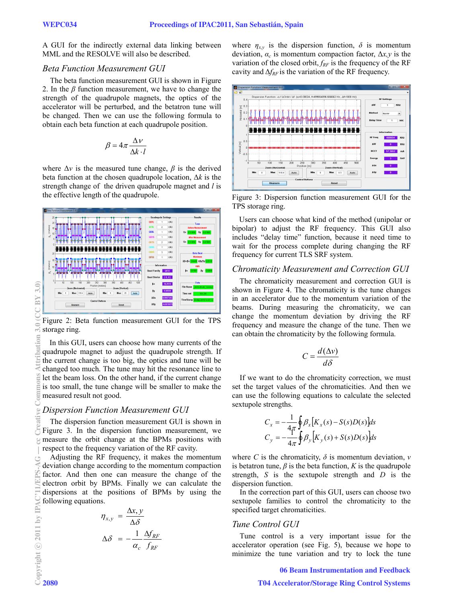A GUI for the indirectly external data linking between MML and the RESOLVE will also be described.

#### *Beta Function Measurement GUI*

The beta function measurement GUI is shown in Figure 2. In the *β* function measurement, we have to change the strength of the quadrupole magnets, the optics of the accelerator will be perturbed, and the betatron tune will be changed. Then we can use the following formula to obtain each beta function at each quadrupole position.

$$
\beta = 4\pi \frac{\Delta v}{\Delta k \cdot l}
$$

where  $\Delta v$  is the measured tune change,  $\beta$  is the derived beta function at the chosen quadrupole location, Δ*k* is the strength change of the driven quadrupole magnet and *l* is the effective length of the quadrupole.



Figure 2: Beta function measurement GUI for the TPS storage ring.

In this GUI, users can choose how many currents of the quadrupole magnet to adjust the quadrupole strength. If the current change is too big, the optics and tune will be changed too much. The tune may hit the resonance line to let the beam loss. On the other hand, if the current change is too small, the tune change will be smaller to make the measured result not good.

### *Dispersion Function Measurement GUI*

 The dispersion function measurement GUI is shown in Figure 3. In the dispersion function measurement, we measure the orbit change at the BPMs positions with respect to the frequency variation of the RF cavity.

Adjusting the RF frequency, it makes the momentum deviation change according to the momentum compaction factor. And then one can measure the change of the electron orbit by BPMs. Finally we can calculate the dispersions at the positions of BPMs by using the following equations.

$$
\eta_{x,y} = \frac{\Delta x, y}{\Delta \delta}
$$

$$
\Delta \delta = -\frac{1}{\alpha_c} \frac{\Delta f_{RF}}{f_{RF}}
$$

where  $\eta_{xx}$  is the dispersion function,  $\delta$  is momentum deviation,  $\alpha_c$  is momentum compaction factor,  $\Delta x$ , *y* is the variation of the closed orbit,  $f_{RF}$  is the frequency of the RF cavity and  $\Delta f_{RF}$  is the variation of the RF frequency.



Figure 3: Dispersion function measurement GUI for the TPS storage ring.

Users can choose what kind of the method (unipolar or bipolar) to adjust the RF frequency. This GUI also includes "delay time" function, because it need time to wait for the process complete during changing the RF frequency for current TLS SRF system.

### *Chromaticity Measurement and Correction GUI*

 The chromaticity measurement and correction GUI is shown in Figure 4. The chromaticity is the tune changes in an accelerator due to the momentum variation of the beams. During measuring the chromaticity, we can change the momentum deviation by driving the RF frequency and measure the change of the tune. Then we can obtain the chromaticity by the following formula.

$$
C = \frac{d(\Delta v)}{d\delta}
$$

If we want to do the chromaticity correction, we must set the target values of the chromaticities. And then we can use the following equations to calculate the selected sextupole strengths.

$$
C_x = -\frac{1}{4\pi} \oint \beta_x [K_x(s) - S(s)D(s)]ds
$$
  
\n
$$
C_y = -\frac{1}{4\pi} \oint \beta_y [K_y(s) + S(s)D(s)]ds
$$

where *C* is the chromaticity,  $\delta$  is momentum deviation,  $\nu$ is betatron tune,  $\beta$  is the beta function,  $K$  is the quadrupole strength, *S* is the sextupole strength and *D* is the dispersion function.

 In the correction part of this GUI, users can choose two sextupole families to control the chromaticity to the specified target chromaticities.

### *Tune Control GUI*

 Tune control is a very important issue for the accelerator operation (see Fig. 5), because we hope to minimize the tune variation and try to lock the tune

06 Beam Instrumentation and Feedback